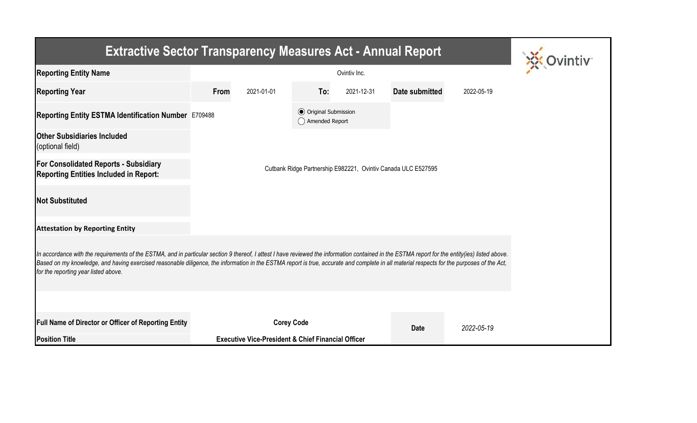| <b>Extractive Sector Transparency Measures Act - Annual Report</b>                                                                                                                                                                                                                                                                                                                                                                    |                                                  |                                                               |     |            |                       |            |  |  |  |  |
|---------------------------------------------------------------------------------------------------------------------------------------------------------------------------------------------------------------------------------------------------------------------------------------------------------------------------------------------------------------------------------------------------------------------------------------|--------------------------------------------------|---------------------------------------------------------------|-----|------------|-----------------------|------------|--|--|--|--|
| <b>Reporting Entity Name</b>                                                                                                                                                                                                                                                                                                                                                                                                          |                                                  |                                                               |     |            |                       |            |  |  |  |  |
| <b>Reporting Year</b>                                                                                                                                                                                                                                                                                                                                                                                                                 | From                                             | 2021-01-01                                                    | To: | 2021-12-31 | <b>Date submitted</b> | 2022-05-19 |  |  |  |  |
| Reporting Entity ESTMA Identification Number E709488                                                                                                                                                                                                                                                                                                                                                                                  | <b>⊙</b> Original Submission<br>◯ Amended Report |                                                               |     |            |                       |            |  |  |  |  |
| <b>Other Subsidiaries Included</b><br>(optional field)                                                                                                                                                                                                                                                                                                                                                                                |                                                  |                                                               |     |            |                       |            |  |  |  |  |
| <b>For Consolidated Reports - Subsidiary</b><br>Cutbank Ridge Partnership E982221, Ovintiv Canada ULC E527595<br><b>Reporting Entities Included in Report:</b>                                                                                                                                                                                                                                                                        |                                                  |                                                               |     |            |                       |            |  |  |  |  |
| <b>Not Substituted</b>                                                                                                                                                                                                                                                                                                                                                                                                                |                                                  |                                                               |     |            |                       |            |  |  |  |  |
| <b>Attestation by Reporting Entity</b>                                                                                                                                                                                                                                                                                                                                                                                                |                                                  |                                                               |     |            |                       |            |  |  |  |  |
| In accordance with the requirements of the ESTMA, and in particular section 9 thereof, I attest I have reviewed the information contained in the ESTMA report for the entity(ies) listed above.<br>Based on my knowledge, and having exercised reasonable diligence, the information in the ESTMA report is true, accurate and complete in all material respects for the purposes of the Act,<br>for the reporting year listed above. |                                                  |                                                               |     |            |                       |            |  |  |  |  |
|                                                                                                                                                                                                                                                                                                                                                                                                                                       |                                                  |                                                               |     |            |                       |            |  |  |  |  |
| <b>Full Name of Director or Officer of Reporting Entity</b>                                                                                                                                                                                                                                                                                                                                                                           |                                                  | <b>Corey Code</b>                                             |     |            | <b>Date</b>           | 2022-05-19 |  |  |  |  |
| <b>Position Title</b>                                                                                                                                                                                                                                                                                                                                                                                                                 |                                                  | <b>Executive Vice-President &amp; Chief Financial Officer</b> |     |            |                       |            |  |  |  |  |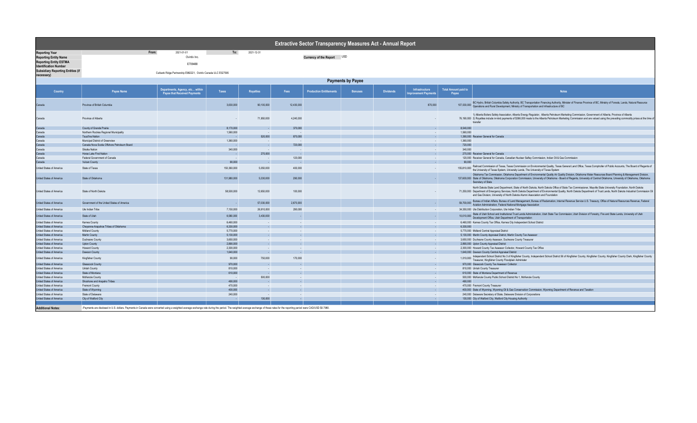| Extractive Sector Transparency Measures Act - Annual Report   |                                                                                                                                                                                                                                 |                                                                        |                        |                  |            |                                |                |                  |                                               |                                      |                                                                                                                                                                                                                                                                                                                                                                                                                                 |
|---------------------------------------------------------------|---------------------------------------------------------------------------------------------------------------------------------------------------------------------------------------------------------------------------------|------------------------------------------------------------------------|------------------------|------------------|------------|--------------------------------|----------------|------------------|-----------------------------------------------|--------------------------------------|---------------------------------------------------------------------------------------------------------------------------------------------------------------------------------------------------------------------------------------------------------------------------------------------------------------------------------------------------------------------------------------------------------------------------------|
| <b>Reporting Year</b>                                         | From:                                                                                                                                                                                                                           | 2021-01-01                                                             | To:                    | 2021-12-31       |            |                                |                |                  |                                               |                                      |                                                                                                                                                                                                                                                                                                                                                                                                                                 |
| <b>Reporting Entity Name</b>                                  |                                                                                                                                                                                                                                 | Ovintiv Inc.                                                           |                        |                  |            | Currency of the Report USD     |                |                  |                                               |                                      |                                                                                                                                                                                                                                                                                                                                                                                                                                 |
| <b>Reporting Entity ESTMA</b><br><b>Identification Number</b> |                                                                                                                                                                                                                                 | E709488                                                                |                        |                  |            |                                |                |                  |                                               |                                      |                                                                                                                                                                                                                                                                                                                                                                                                                                 |
| <b>Subsidiary Reporting Entities (if</b><br>necessary)        |                                                                                                                                                                                                                                 | Cutbank Ridge Partnership E982221, Ovintiv Canada ULC E527595          |                        |                  |            |                                |                |                  |                                               |                                      |                                                                                                                                                                                                                                                                                                                                                                                                                                 |
|                                                               |                                                                                                                                                                                                                                 |                                                                        |                        |                  |            |                                |                |                  |                                               |                                      |                                                                                                                                                                                                                                                                                                                                                                                                                                 |
|                                                               | <b>Payments by Payee</b>                                                                                                                                                                                                        |                                                                        |                        |                  |            |                                |                |                  |                                               |                                      |                                                                                                                                                                                                                                                                                                                                                                                                                                 |
| Country                                                       | Payee Name                                                                                                                                                                                                                      | Departments, Agency, etc within<br><b>Payee that Received Payments</b> | Taxes                  | <b>Royalties</b> | Fees       | <b>Production Entitlements</b> | <b>Bonuses</b> | <b>Dividends</b> | Infrastructure<br><b>Improvement Payments</b> | <b>Total Amount paid to</b><br>Payee | <b>Notes</b>                                                                                                                                                                                                                                                                                                                                                                                                                    |
| Canada                                                        | Province of British Columbia                                                                                                                                                                                                    |                                                                        | 3,630,000              | 90.100.000       | 12,430,000 |                                |                |                  | 870,000                                       | 107.030.000                          | BC Hydro, British Columbia Safety Authority, BC Transportation Financing Authority, Minister of Finance Province of BC, Ministry of Forests, Lands, Natural Resource<br>Operations and Rural Development, Ministry of Transportation and Infrastructure of BC                                                                                                                                                                   |
| Canada                                                        | Province of Alberta                                                                                                                                                                                                             |                                                                        |                        | 71,950,000       | 4,240,000  |                                |                |                  |                                               |                                      | 1) Alberta Boilers Safety Association, Alberta Energy Regulator, Alberta Petroleum Marketing Commission, Government of Alberta, Province of Alberta<br>76,190,000 2) Royalties include in-kind payments of \$366,000 made to the Alberta Petroleum Marketing Commission and are valued using the prevailing commodity prices at the time of<br>transfer                                                                         |
| Canada                                                        | County of Grande Prairie                                                                                                                                                                                                        |                                                                        | 8,170,000              |                  | 370,000    |                                |                |                  |                                               | 8,540,000                            |                                                                                                                                                                                                                                                                                                                                                                                                                                 |
| Canada                                                        | Northern Rockies Regional Municipality                                                                                                                                                                                          |                                                                        | 1,560,000              | $\sim$           |            |                                |                |                  |                                               | 1,560,000                            |                                                                                                                                                                                                                                                                                                                                                                                                                                 |
| Canada                                                        | Tsuut'ina Nation                                                                                                                                                                                                                |                                                                        | - 11                   | 520,000          | 870,000    |                                |                |                  |                                               |                                      | 1.390.000 Receiver General for Canada                                                                                                                                                                                                                                                                                                                                                                                           |
| Canada                                                        | Municipal District of Greenview                                                                                                                                                                                                 |                                                                        | 1.360.000              | $\sim$           |            |                                |                |                  |                                               | 1.360.000                            |                                                                                                                                                                                                                                                                                                                                                                                                                                 |
| Canada                                                        | Canada Nova Scotia Offshore Petroleum Board                                                                                                                                                                                     |                                                                        |                        | n a b            | 720,000    |                                |                |                  |                                               | 720,000                              |                                                                                                                                                                                                                                                                                                                                                                                                                                 |
| Canada                                                        | Siksika Nation                                                                                                                                                                                                                  |                                                                        | 340,000                | <b>Section</b>   | $\sim$     |                                |                |                  | <b>College</b>                                | 340,000                              |                                                                                                                                                                                                                                                                                                                                                                                                                                 |
| Canada                                                        | Horse Lake First Nation                                                                                                                                                                                                         |                                                                        |                        | 270,000          |            |                                |                |                  |                                               |                                      | 270,000 Receiver General for Canada                                                                                                                                                                                                                                                                                                                                                                                             |
| Canada                                                        | Federal Government of Canada                                                                                                                                                                                                    |                                                                        | $\sim$                 | $\sim$           | 120,000    |                                |                |                  | $\sim$                                        |                                      | 120,000 Receiver General for Canada, Canadian Nuclear Saftey Commission, Indian Oil & Gas Commission                                                                                                                                                                                                                                                                                                                            |
| Canada                                                        | <b>Vulcan County</b>                                                                                                                                                                                                            |                                                                        | 90,000                 |                  |            |                                |                |                  |                                               | 90,000                               |                                                                                                                                                                                                                                                                                                                                                                                                                                 |
| United States of America                                      | State of Texas                                                                                                                                                                                                                  |                                                                        | 150,360,000            | 5,050,000        | 400,000    |                                |                |                  |                                               | 155,810,000                          | Railroad Commission of Texas, Texas Commission on Environmental Quality, Texas General Land Office, Texas Comptroller of Public Accounts, The Board of Regents of<br>the University of Texas System, University Lands, The University of Texas System                                                                                                                                                                           |
| United States of America                                      | State of Oklahoma                                                                                                                                                                                                               |                                                                        | 131,980,000            | 5,330,000        | 290,000    |                                |                |                  | $\sim$                                        |                                      | Oklahoma Tax Commission, Oklahoma Department of Environmental Quality Air Quality Division, Oklahoma Water Resources Board Planning & Management Division,<br>137,600,000 State of Oklahoma, Oklahoma Corporation Commission, University of Oklahoma - Board of Regents, University of Central Oklahoma, University of Oklahoma, Oklahoma<br>Secretary of State                                                                 |
| United States of America                                      | State of North Dakota                                                                                                                                                                                                           |                                                                        | 58,500,000             | 12.650.000       | 100,000    |                                |                |                  |                                               |                                      | North Dakota State Land Department, State of North Dakota, North Dakota Office of State Tax Commissioner, Mayville State University Foundation, North Dakota<br>71,250,000 Department of Emergency Services, North Dakota Department of Environmental Quality, North Dakota Department of Trust Lands, North Dakota Industrial Commission Oil<br>and Gas Division, University of North Dakota Alumni Association and Foundation |
| United States of America                                      | Government of the United States of America                                                                                                                                                                                      |                                                                        | $\sim$                 | 57,030,000       | 2,670,000  |                                |                |                  | $\sim$                                        | 59,700,000                           | Bureau of Indian Affairs, Bureau of Land Management, Bureau of Reclamation, Internal Revenue Service U.S. Treasury, Office of Natural Resources Revenue, Federal<br>Aviation Administration, Federal National Mortgage Association                                                                                                                                                                                              |
| United States of America                                      | Ute Indian Tribe                                                                                                                                                                                                                |                                                                        | 7,150,000              | 26,910,000       | 290,000    |                                |                |                  | <b>College</b>                                |                                      | 34,350,000 Ute Distribution Corporation, Ute Indian Tribe                                                                                                                                                                                                                                                                                                                                                                       |
| United States of America                                      | State of Utah                                                                                                                                                                                                                   |                                                                        | 6,580,000              | 3,430,000        |            |                                |                |                  |                                               |                                      | 10,010,000 State of Utah School and Institutional Trust Lands Administration, Utah State Tax Commission, Utah Division of Forestry, Fire and State Lands, University of Utah<br>Development Office, Utah Department of Transporta                                                                                                                                                                                               |
| United States of America                                      | Karnes County                                                                                                                                                                                                                   |                                                                        | 6,460,000              | $\sim$           | $\sim$     |                                |                |                  | $\sim$                                        |                                      | 6,460,000 Karnes County Tax Office, Karnes City Independent School District                                                                                                                                                                                                                                                                                                                                                     |
| United States of America                                      | Cheyenne-Arapahoe Tribes of Oklahoma                                                                                                                                                                                            |                                                                        | 6.330.000              |                  |            |                                |                |                  |                                               | 6.330.000                            |                                                                                                                                                                                                                                                                                                                                                                                                                                 |
| United States of America                                      | Midland County                                                                                                                                                                                                                  |                                                                        | 5,770,000              |                  |            |                                |                |                  |                                               |                                      | 5,770,000 Midland Central Appraisal District                                                                                                                                                                                                                                                                                                                                                                                    |
| United States of America                                      | Martin County                                                                                                                                                                                                                   |                                                                        | 5.130.000              |                  |            |                                |                |                  |                                               |                                      | 5,130,000 Martin County Appraisal District, Martin County Tax Assessor                                                                                                                                                                                                                                                                                                                                                          |
| United States of America                                      | Duchesne County                                                                                                                                                                                                                 |                                                                        | 3.650.000              |                  |            |                                |                |                  |                                               |                                      | 3,650,000 Duchesne County Assessor, Duchesne County Treasurer                                                                                                                                                                                                                                                                                                                                                                   |
| <b>United States of America</b><br>United States of America   | <b>Upton County</b><br><b>Howard County</b>                                                                                                                                                                                     |                                                                        | 2,890,000<br>2,300,000 | $\sim$           |            |                                |                |                  | <b>Section</b>                                |                                      | 2,890,000 Upton County Appraisal District<br>2,300,000 Howard County Tax Assessor Collector, Howard County Tax Office                                                                                                                                                                                                                                                                                                           |
| United States of America                                      | Dawson County                                                                                                                                                                                                                   |                                                                        | 1,640,000              | $\sim$           |            |                                |                |                  |                                               |                                      | 1,640,000 Dawson County Central Appraisal District                                                                                                                                                                                                                                                                                                                                                                              |
| United States of America                                      | Kingfisher County                                                                                                                                                                                                               |                                                                        | 90,000                 | 750,000          | 170,000    |                                |                |                  |                                               |                                      | 1,010,000 Independent School District No 3 of Kingfisher County, Independent School District 56 of Kingfisher County, Kingfisher County, Kingfisher County Clerk, Kingfisher County<br>Treasurer, Kingfisher County Floodplain Administer                                                                                                                                                                                       |
| United States of America                                      | Glasscock County                                                                                                                                                                                                                |                                                                        | 970,000                |                  |            |                                |                |                  |                                               |                                      | 970,000 Glasscock County Tax Assessor Collector                                                                                                                                                                                                                                                                                                                                                                                 |
| United States of America                                      | Uintah County                                                                                                                                                                                                                   |                                                                        | 810,000                | $\sim$           |            |                                |                |                  |                                               |                                      | 810,000 Uintah County Treasurer                                                                                                                                                                                                                                                                                                                                                                                                 |
| United States of America                                      | State of Montana                                                                                                                                                                                                                |                                                                        | 610,000                |                  |            |                                |                |                  |                                               |                                      | 610,000 State of Montana Department of Revenue                                                                                                                                                                                                                                                                                                                                                                                  |
| United States of America                                      | McKenzie County                                                                                                                                                                                                                 |                                                                        | - 11                   | 500,000          |            |                                |                |                  | <b>College</b>                                |                                      | 500,000 McKenzie County Public School District No 1, McKenzie County                                                                                                                                                                                                                                                                                                                                                            |
| United States of America                                      | Shoshone and Arapaho Tribes                                                                                                                                                                                                     |                                                                        | 490,000                | $\sim$           |            |                                |                |                  |                                               | 490,000                              |                                                                                                                                                                                                                                                                                                                                                                                                                                 |
| United States of America                                      | <b>Fremont County</b>                                                                                                                                                                                                           |                                                                        | 470,000                | $\sim$           |            |                                |                |                  | $\sim$                                        |                                      | 470,000 Fremont County Treasurer                                                                                                                                                                                                                                                                                                                                                                                                |
| United States of America                                      | State of Wyoming                                                                                                                                                                                                                |                                                                        | 400,000                | <b>A</b>         |            |                                |                |                  | <b>College</b>                                |                                      | 400,000 State of Wyoming, Wyoming Oil & Gas Conservation Commission, Wyoming Department of Revenue and Taxation                                                                                                                                                                                                                                                                                                                 |
| United States of America                                      | State of Delaware                                                                                                                                                                                                               |                                                                        | 240,000                | $\sim$ $\sim$    | $\sim$     |                                |                |                  | <b>College</b>                                |                                      | 240,000 Delaware Secretary of State, Delaware Division of Corporations                                                                                                                                                                                                                                                                                                                                                          |
| United States of America                                      | City of Watford City                                                                                                                                                                                                            |                                                                        | <b>College</b>         | 130,000          |            |                                |                |                  | $\sim$                                        |                                      | 130,000 City of Watford City, Watford City Housing Authority                                                                                                                                                                                                                                                                                                                                                                    |
|                                                               |                                                                                                                                                                                                                                 |                                                                        |                        |                  |            |                                |                |                  |                                               |                                      |                                                                                                                                                                                                                                                                                                                                                                                                                                 |
| <b>Additional Notes:</b>                                      | -Payments are disclosed in U.S. dollars. Payments in Canada were converted using a weighted average exchange rate during the period. The weighted average exchange of these rates for the reporting period were CAD/USD \$0.798 |                                                                        |                        |                  |            |                                |                |                  |                                               |                                      |                                                                                                                                                                                                                                                                                                                                                                                                                                 |